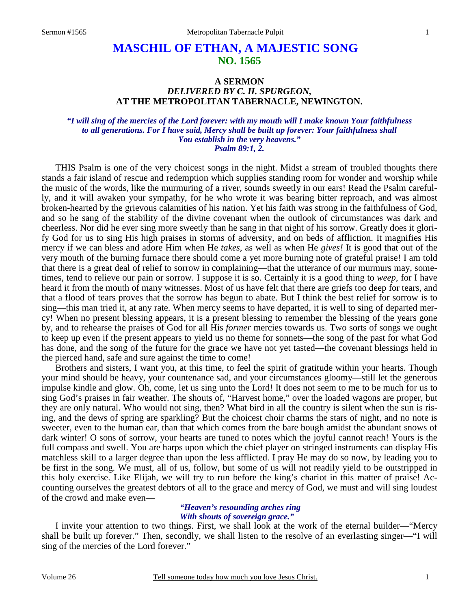# **MASCHIL OF ETHAN, A MAJESTIC SONG NO. 1565**

## **A SERMON** *DELIVERED BY C. H. SPURGEON,*  **AT THE METROPOLITAN TABERNACLE, NEWINGTON.**

#### *"I will sing of the mercies of the Lord forever: with my mouth will I make known Your faithfulness to all generations. For I have said, Mercy shall be built up forever: Your faithfulness shall You establish in the very heavens." Psalm 89:1, 2.*

THIS Psalm is one of the very choicest songs in the night. Midst a stream of troubled thoughts there stands a fair island of rescue and redemption which supplies standing room for wonder and worship while the music of the words, like the murmuring of a river, sounds sweetly in our ears! Read the Psalm carefully, and it will awaken your sympathy, for he who wrote it was bearing bitter reproach, and was almost broken-hearted by the grievous calamities of his nation. Yet his faith was strong in the faithfulness of God, and so he sang of the stability of the divine covenant when the outlook of circumstances was dark and cheerless. Nor did he ever sing more sweetly than he sang in that night of his sorrow. Greatly does it glorify God for us to sing His high praises in storms of adversity, and on beds of affliction. It magnifies His mercy if we can bless and adore Him when He *takes,* as well as when He *gives!* It is good that out of the very mouth of the burning furnace there should come a yet more burning note of grateful praise! I am told that there is a great deal of relief to sorrow in complaining—that the utterance of our murmurs may, sometimes, tend to relieve our pain or sorrow. I suppose it is so. Certainly it is a good thing to *weep*, for I have heard it from the mouth of many witnesses. Most of us have felt that there are griefs too deep for tears, and that a flood of tears proves that the sorrow has begun to abate. But I think the best relief for sorrow is to sing—this man tried it, at any rate. When mercy seems to have departed, it is well to sing of departed mercy! When no present blessing appears, it is a present blessing to remember the blessing of the years gone by, and to rehearse the praises of God for all His *former* mercies towards us. Two sorts of songs we ought to keep up even if the present appears to yield us no theme for sonnets—the song of the past for what God has done, and the song of the future for the grace we have not yet tasted—the covenant blessings held in the pierced hand, safe and sure against the time to come!

 Brothers and sisters, I want you, at this time, to feel the spirit of gratitude within your hearts. Though your mind should be heavy, your countenance sad, and your circumstances gloomy—still let the generous impulse kindle and glow. Oh, come, let us sing unto the Lord! It does not seem to me to be much for us to sing God's praises in fair weather. The shouts of, "Harvest home," over the loaded wagons are proper, but they are only natural. Who would not sing, then? What bird in all the country is silent when the sun is rising, and the dews of spring are sparkling? But the choicest choir charms the stars of night, and no note is sweeter, even to the human ear, than that which comes from the bare bough amidst the abundant snows of dark winter! O sons of sorrow, your hearts are tuned to notes which the joyful cannot reach! Yours is the full compass and swell. You are harps upon which the chief player on stringed instruments can display His matchless skill to a larger degree than upon the less afflicted. I pray He may do so now, by leading you to be first in the song. We must, all of us, follow, but some of us will not readily yield to be outstripped in this holy exercise. Like Elijah, we will try to run before the king's chariot in this matter of praise! Accounting ourselves the greatest debtors of all to the grace and mercy of God, we must and will sing loudest of the crowd and make even—

#### *"Heaven's resounding arches ring With shouts of sovereign grace."*

I invite your attention to two things. First, we shall look at the work of the eternal builder—"Mercy shall be built up forever." Then, secondly, we shall listen to the resolve of an everlasting singer—"I will sing of the mercies of the Lord forever."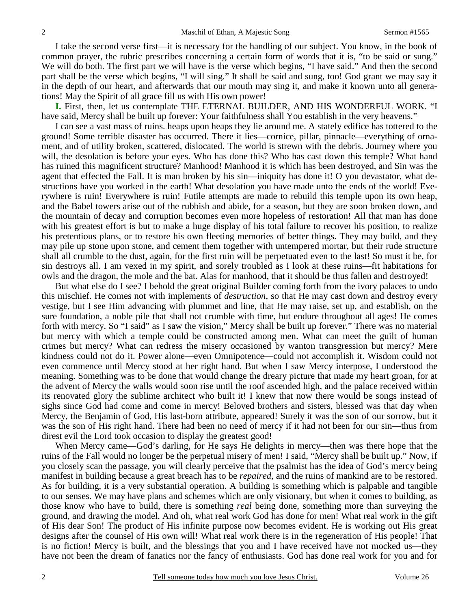I take the second verse first—it is necessary for the handling of our subject. You know, in the book of common prayer, the rubric prescribes concerning a certain form of words that it is, "to be said or sung." We will do both. The first part we will have is the verse which begins, "I have said." And then the second part shall be the verse which begins, "I will sing." It shall be said and sung, too! God grant we may say it in the depth of our heart, and afterwards that our mouth may sing it, and make it known unto all generations! May the Spirit of all grace fill us with His own power!

**I.** First, then, let us contemplate THE ETERNAL BUILDER, AND HIS WONDERFUL WORK. "I have said, Mercy shall be built up forever: Your faithfulness shall You establish in the very heavens."

 I can see a vast mass of ruins. heaps upon heaps they lie around me. A stately edifice has tottered to the ground! Some terrible disaster has occurred. There it lies—cornice, pillar, pinnacle—everything of ornament, and of utility broken, scattered, dislocated. The world is strewn with the debris. Journey where you will, the desolation is before your eyes. Who has done this? Who has cast down this temple? What hand has ruined this magnificent structure? Manhood! Manhood it is which has been destroyed, and Sin was the agent that effected the Fall. It is man broken by his sin—iniquity has done it! O you devastator, what destructions have you worked in the earth! What desolation you have made unto the ends of the world! Everywhere is ruin! Everywhere is ruin! Futile attempts are made to rebuild this temple upon its own heap, and the Babel towers arise out of the rubbish and abide, for a season, but they are soon broken down, and the mountain of decay and corruption becomes even more hopeless of restoration! All that man has done with his greatest effort is but to make a huge display of his total failure to recover his position, to realize his pretentious plans, or to restore his own fleeting memories of better things. They may build, and they may pile up stone upon stone, and cement them together with untempered mortar, but their rude structure shall all crumble to the dust, again, for the first ruin will be perpetuated even to the last! So must it be, for sin destroys all. I am vexed in my spirit, and sorely troubled as I look at these ruins—fit habitations for owls and the dragon, the mole and the bat. Alas for manhood, that it should be thus fallen and destroyed!

 But what else do I see? I behold the great original Builder coming forth from the ivory palaces to undo this mischief. He comes not with implements of *destruction*, so that He may cast down and destroy every vestige, but I see Him advancing with plummet and line, that He may raise, set up, and establish, on the sure foundation, a noble pile that shall not crumble with time, but endure throughout all ages! He comes forth with mercy. So "I said" as I saw the vision," Mercy shall be built up forever." There was no material but mercy with which a temple could be constructed among men. What can meet the guilt of human crimes but mercy? What can redress the misery occasioned by wanton transgression but mercy? Mere kindness could not do it. Power alone—even Omnipotence—could not accomplish it. Wisdom could not even commence until Mercy stood at her right hand. But when I saw Mercy interpose, I understood the meaning. Something was to be done that would change the dreary picture that made my heart groan, for at the advent of Mercy the walls would soon rise until the roof ascended high, and the palace received within its renovated glory the sublime architect who built it! I knew that now there would be songs instead of sighs since God had come and come in mercy! Beloved brothers and sisters, blessed was that day when Mercy, the Benjamin of God, His last-born attribute, appeared! Surely it was the son of our sorrow, but it was the son of His right hand. There had been no need of mercy if it had not been for our sin—thus from direst evil the Lord took occasion to display the greatest good!

 When Mercy came—God's darling, for He says He delights in mercy—then was there hope that the ruins of the Fall would no longer be the perpetual misery of men! I said, "Mercy shall be built up." Now, if you closely scan the passage, you will clearly perceive that the psalmist has the idea of God's mercy being manifest in building because a great breach has to be *repaired,* and the ruins of mankind are to be restored. As for building, it is a very substantial operation. A building is something which is palpable and tangible to our senses. We may have plans and schemes which are only visionary, but when it comes to building, as those know who have to build, there is something *real* being done, something more than surveying the ground, and drawing the model. And oh, what real work God has done for men! What real work in the gift of His dear Son! The product of His infinite purpose now becomes evident. He is working out His great designs after the counsel of His own will! What real work there is in the regeneration of His people! That is no fiction! Mercy is built, and the blessings that you and I have received have not mocked us—they have not been the dream of fanatics nor the fancy of enthusiasts. God has done real work for you and for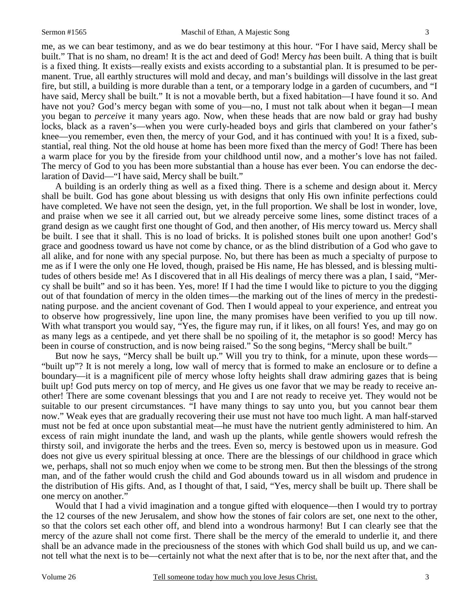me, as we can bear testimony, and as we do bear testimony at this hour. "For I have said, Mercy shall be built." That is no sham, no dream! It is the act and deed of God! Mercy *has* been built. A thing that is built is a fixed thing. It exists—really exists and exists according to a substantial plan. It is presumed to be permanent. True, all earthly structures will mold and decay, and man's buildings will dissolve in the last great fire, but still, a building is more durable than a tent, or a temporary lodge in a garden of cucumbers, and "I have said, Mercy shall be built." It is not a movable berth, but a fixed habitation—I have found it so. And have not you? God's mercy began with some of you—no, I must not talk about when it began—I mean you began to *perceive* it many years ago. Now, when these heads that are now bald or gray had bushy locks, black as a raven's—when you were curly-headed boys and girls that clambered on your father's knee—you remember, even then, the mercy of your God, and it has continued with you! It is a fixed, substantial, real thing. Not the old house at home has been more fixed than the mercy of God! There has been a warm place for you by the fireside from your childhood until now, and a mother's love has not failed. The mercy of God to you has been more substantial than a house has ever been. You can endorse the declaration of David—"I have said, Mercy shall be built."

 A building is an orderly thing as well as a fixed thing. There is a scheme and design about it. Mercy shall be built. God has gone about blessing us with designs that only His own infinite perfections could have completed. We have not seen the design, yet, in the full proportion. We shall be lost in wonder, love, and praise when we see it all carried out, but we already perceive some lines, some distinct traces of a grand design as we caught first one thought of God, and then another, of His mercy toward us. Mercy shall be built. I see that it shall. This is no load of bricks. It is polished stones built one upon another! God's grace and goodness toward us have not come by chance, or as the blind distribution of a God who gave to all alike, and for none with any special purpose. No, but there has been as much a specialty of purpose to me as if I were the only one He loved, though, praised be His name, He has blessed, and is blessing multitudes of others beside me! As I discovered that in all His dealings of mercy there was a plan, I said, "Mercy shall be built" and so it has been. Yes, more! If I had the time I would like to picture to you the digging out of that foundation of mercy in the olden times—the marking out of the lines of mercy in the predestinating purpose. and the ancient covenant of God. Then I would appeal to your experience, and entreat you to observe how progressively, line upon line, the many promises have been verified to you up till now. With what transport you would say, "Yes, the figure may run, if it likes, on all fours! Yes, and may go on as many legs as a centipede, and yet there shall be no spoiling of it, the metaphor is so good! Mercy has been in course of construction, and is now being raised." So the song begins, "Mercy shall be built."

 But now he says, "Mercy shall be built up." Will you try to think, for a minute, upon these words— "built up"? It is not merely a long, low wall of mercy that is formed to make an enclosure or to define a boundary—it is a magnificent pile of mercy whose lofty heights shall draw admiring gazes that is being built up! God puts mercy on top of mercy, and He gives us one favor that we may be ready to receive another! There are some covenant blessings that you and I are not ready to receive yet. They would not be suitable to our present circumstances. "I have many things to say unto you, but you cannot bear them now." Weak eyes that are gradually recovering their use must not have too much light. A man half-starved must not be fed at once upon substantial meat—he must have the nutrient gently administered to him. An excess of rain might inundate the land, and wash up the plants, while gentle showers would refresh the thirsty soil, and invigorate the herbs and the trees. Even so, mercy is bestowed upon us in measure. God does not give us every spiritual blessing at once. There are the blessings of our childhood in grace which we, perhaps, shall not so much enjoy when we come to be strong men. But then the blessings of the strong man, and of the father would crush the child and God abounds toward us in all wisdom and prudence in the distribution of His gifts. And, as I thought of that, I said, "Yes, mercy shall be built up. There shall be one mercy on another."

 Would that I had a vivid imagination and a tongue gifted with eloquence—then I would try to portray the 12 courses of the new Jerusalem, and show how the stones of fair colors are set, one next to the other, so that the colors set each other off, and blend into a wondrous harmony! But I can clearly see that the mercy of the azure shall not come first. There shall be the mercy of the emerald to underlie it, and there shall be an advance made in the preciousness of the stones with which God shall build us up, and we cannot tell what the next is to be—certainly not what the next after that is to be, nor the next after that, and the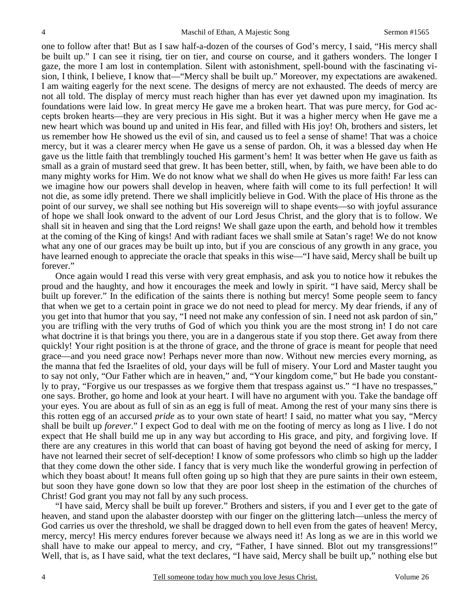one to follow after that! But as I saw half-a-dozen of the courses of God's mercy, I said, "His mercy shall be built up." I can see it rising, tier on tier, and course on course, and it gathers wonders. The longer I gaze, the more I am lost in contemplation. Silent with astonishment, spell-bound with the fascinating vision, I think, I believe, I know that—"Mercy shall be built up." Moreover, my expectations are awakened. I am waiting eagerly for the next scene. The designs of mercy are not exhausted. The deeds of mercy are not all told. The display of mercy must reach higher than has ever yet dawned upon my imagination. Its foundations were laid low. In great mercy He gave me a broken heart. That was pure mercy, for God accepts broken hearts—they are very precious in His sight. But it was a higher mercy when He gave me a new heart which was bound up and united in His fear, and filled with His joy! Oh, brothers and sisters, let us remember how He showed us the evil of sin, and caused us to feel a sense of shame! That was a choice mercy, but it was a clearer mercy when He gave us a sense of pardon. Oh, it was a blessed day when He gave us the little faith that tremblingly touched His garment's hem! It was better when He gave us faith as small as a grain of mustard seed that grew. It has been better, still, when, by faith, we have been able to do many mighty works for Him. We do not know what we shall do when He gives us more faith! Far less can we imagine how our powers shall develop in heaven, where faith will come to its full perfection! It will not die, as some idly pretend. There we shall implicitly believe in God. With the place of His throne as the point of our survey, we shall see nothing but His sovereign will to shape events—so with joyful assurance of hope we shall look onward to the advent of our Lord Jesus Christ, and the glory that is to follow. We shall sit in heaven and sing that the Lord reigns! We shall gaze upon the earth, and behold how it trembles at the coming of the King of kings! And with radiant faces we shall smile at Satan's rage! We do not know what any one of our graces may be built up into, but if you are conscious of any growth in any grace, you have learned enough to appreciate the oracle that speaks in this wise—"I have said, Mercy shall be built up forever."

 Once again would I read this verse with very great emphasis, and ask you to notice how it rebukes the proud and the haughty, and how it encourages the meek and lowly in spirit. "I have said, Mercy shall be built up forever." In the edification of the saints there is nothing but mercy! Some people seem to fancy that when we get to a certain point in grace we do not need to plead for mercy. My dear friends, if any of you get into that humor that you say, "I need not make any confession of sin. I need not ask pardon of sin," you are trifling with the very truths of God of which you think you are the most strong in! I do not care what doctrine it is that brings you there, you are in a dangerous state if you stop there. Get away from there quickly! Your right position is at the throne of grace, and the throne of grace is meant for people that need grace—and you need grace now! Perhaps never more than now. Without new mercies every morning, as the manna that fed the Israelites of old, your days will be full of misery. Your Lord and Master taught you to say not only, "Our Father which are in heaven," and, "Your kingdom come," but He bade you constantly to pray, "Forgive us our trespasses as we forgive them that trespass against us." "I have no trespasses," one says. Brother, go home and look at your heart. I will have no argument with you. Take the bandage off your eyes. You are about as full of sin as an egg is full of meat. Among the rest of your many sins there is this rotten egg of an accursed *pride* as to your own state of heart! I said, no matter what you say, "Mercy shall be built up *forever*." I expect God to deal with me on the footing of mercy as long as I live. I do not expect that He shall build me up in any way but according to His grace, and pity, and forgiving love. If there are any creatures in this world that can boast of having got beyond the need of asking for mercy, I have not learned their secret of self-deception! I know of some professors who climb so high up the ladder that they come down the other side. I fancy that is very much like the wonderful growing in perfection of which they boast about! It means full often going up so high that they are pure saints in their own esteem, but soon they have gone down so low that they are poor lost sheep in the estimation of the churches of Christ! God grant you may not fall by any such process.

 "I have said, Mercy shall be built up forever." Brothers and sisters, if you and I ever get to the gate of heaven, and stand upon the alabaster doorstep with our finger on the glittering latch—unless the mercy of God carries us over the threshold, we shall be dragged down to hell even from the gates of heaven! Mercy, mercy, mercy! His mercy endures forever because we always need it! As long as we are in this world we shall have to make our appeal to mercy, and cry, "Father, I have sinned. Blot out my transgressions!" Well, that is, as I have said, what the text declares, "I have said, Mercy shall be built up," nothing else but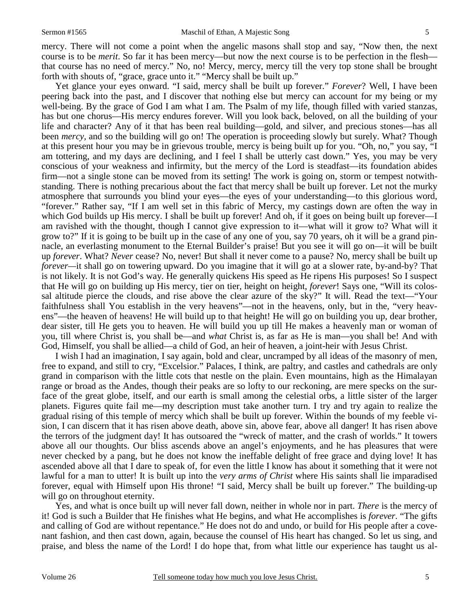mercy. There will not come a point when the angelic masons shall stop and say, "Now then, the next course is to be *merit*. So far it has been mercy—but now the next course is to be perfection in the flesh that course has no need of mercy." No, no! Mercy, mercy, mercy till the very top stone shall be brought forth with shouts of, "grace, grace unto it." "Mercy shall be built up."

 Yet glance your eyes onward. "I said, mercy shall be built up forever." *Forever*? Well, I have been peering back into the past, and I discover that nothing else but mercy can account for my being or my well-being. By the grace of God I am what I am. The Psalm of my life, though filled with varied stanzas, has but one chorus—His mercy endures forever. Will you look back, beloved, on all the building of your life and character? Any of it that has been real building—gold, and silver, and precious stones—has all been *mercy*, and so the building will go on! The operation is proceeding slowly but surely. What? Though at this present hour you may be in grievous trouble, mercy is being built up for you. "Oh, no," you say, "I am tottering, and my days are declining, and I feel I shall be utterly cast down." Yes, you may be very conscious of your weakness and infirmity, but the mercy of the Lord is steadfast—its foundation abides firm—not a single stone can be moved from its setting! The work is going on, storm or tempest notwithstanding. There is nothing precarious about the fact that mercy shall be built up forever. Let not the murky atmosphere that surrounds you blind your eyes—the eyes of your understanding—to this glorious word, "forever." Rather say, "If I am well set in this fabric of Mercy, my castings down are often the way in which God builds up His mercy. I shall be built up forever! And oh, if it goes on being built up forever—I am ravished with the thought, though I cannot give expression to it—what will it grow to? What will it grow to?" If it is going to be built up in the case of any one of you, say 70 years, oh it will be a grand pinnacle, an everlasting monument to the Eternal Builder's praise! But you see it will go on—it will be built up *forever*. What? *Never* cease? No, never! But shall it never come to a pause? No, mercy shall be built up *forever—*it shall go on towering upward. Do you imagine that it will go at a slower rate, by-and-by? That is not likely. It is not God's way. He generally quickens His speed as He ripens His purposes! So I suspect that He will go on building up His mercy, tier on tier, height on height, *forever*! Says one, "Will its colossal altitude pierce the clouds, and rise above the clear azure of the sky?" It will. Read the text—"Your faithfulness shall You establish in the very heavens"—not in the heavens, only, but in the, "very heavens"—the heaven of heavens! He will build up to that height! He will go on building you up, dear brother, dear sister, till He gets you to heaven. He will build you up till He makes a heavenly man or woman of you, till where Christ is, you shall be—and *what* Christ is, as far as He is man—you shall be! And with God, Himself, you shall be allied—a child of God, an heir of heaven, a joint-heir with Jesus Christ.

 I wish I had an imagination, I say again, bold and clear, uncramped by all ideas of the masonry of men, free to expand, and still to cry, "Excelsior." Palaces, I think, are paltry, and castles and cathedrals are only grand in comparison with the little cots that nestle on the plain. Even mountains, high as the Himalayan range or broad as the Andes, though their peaks are so lofty to our reckoning, are mere specks on the surface of the great globe, itself, and our earth is small among the celestial orbs, a little sister of the larger planets. Figures quite fail me—my description must take another turn. I try and try again to realize the gradual rising of this temple of mercy which shall be built up forever. Within the bounds of my feeble vision, I can discern that it has risen above death, above sin, above fear, above all danger! It has risen above the terrors of the judgment day! It has outsoared the "wreck of matter, and the crash of worlds." It towers above all our thoughts. Our bliss ascends above an angel's enjoyments, and he has pleasures that were never checked by a pang, but he does not know the ineffable delight of free grace and dying love! It has ascended above all that I dare to speak of, for even the little I know has about it something that it were not lawful for a man to utter! It is built up into the *very arms of Christ* where His saints shall lie imparadised forever, equal with Himself upon His throne! "I said, Mercy shall be built up forever." The building-up will go on throughout eternity.

 Yes, and what is once built up will never fall down, neither in whole nor in part. *There* is the mercy of it! God is such a Builder that He finishes what He begins, and what He accomplishes is *forever*. "The gifts and calling of God are without repentance." He does not do and undo, or build for His people after a covenant fashion, and then cast down, again, because the counsel of His heart has changed. So let us sing, and praise, and bless the name of the Lord! I do hope that, from what little our experience has taught us al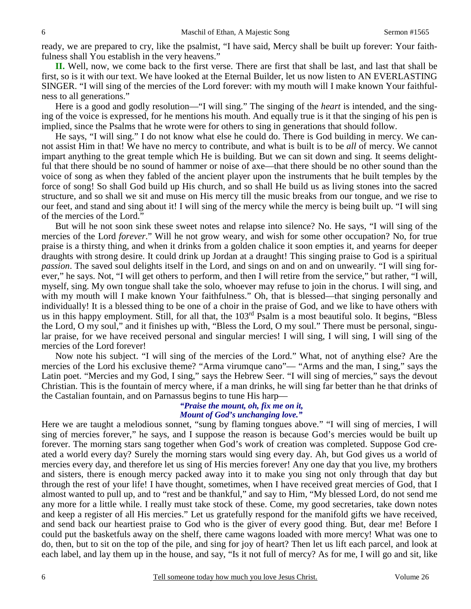ready, we are prepared to cry, like the psalmist, "I have said, Mercy shall be built up forever: Your faithfulness shall You establish in the very heavens."

**II.** Well, now, we come back to the first verse. There are first that shall be last, and last that shall be first, so is it with our text. We have looked at the Eternal Builder, let us now listen to AN EVERLASTING SINGER. "I will sing of the mercies of the Lord forever: with my mouth will I make known Your faithfulness to all generations."

 Here is a good and godly resolution—"I will sing." The singing of the *heart* is intended, and the singing of the voice is expressed, for he mentions his mouth. And equally true is it that the singing of his pen is implied, since the Psalms that he wrote were for others to sing in generations that should follow.

 He says, "I will sing." I do not know what else he could do. There is God building in mercy. We cannot assist Him in that! We have no mercy to contribute, and what is built is to be *all* of mercy. We cannot impart anything to the great temple which He is building. But we can sit down and sing. It seems delightful that there should be no sound of hammer or noise of axe—that there should be no other sound than the voice of song as when they fabled of the ancient player upon the instruments that he built temples by the force of song! So shall God build up His church, and so shall He build us as living stones into the sacred structure, and so shall we sit and muse on His mercy till the music breaks from our tongue, and we rise to our feet, and stand and sing about it! I will sing of the mercy while the mercy is being built up. "I will sing of the mercies of the Lord."

 But will he not soon sink these sweet notes and relapse into silence? No. He says, "I will sing of the mercies of the Lord *forever*." Will he not grow weary, and wish for some other occupation? No, for true praise is a thirsty thing, and when it drinks from a golden chalice it soon empties it, and yearns for deeper draughts with strong desire. It could drink up Jordan at a draught! This singing praise to God is a spiritual *passion*. The saved soul delights itself in the Lord, and sings on and on and on unwearily. "I will sing forever," he says. Not, "I will get others to perform, and then I will retire from the service," but rather, "I will, myself, sing. My own tongue shall take the solo, whoever may refuse to join in the chorus. I will sing, and with my mouth will I make known Your faithfulness." Oh, that is blessed—that singing personally and individually! It is a blessed thing to be one of a choir in the praise of God, and we like to have others with us in this happy employment. Still, for all that, the 103<sup>rd</sup> Psalm is a most beautiful solo. It begins, "Bless the Lord, O my soul," and it finishes up with, "Bless the Lord, O my soul." There must be personal, singular praise, for we have received personal and singular mercies! I will sing, I will sing, I will sing of the mercies of the Lord forever!

 Now note his subject. "I will sing of the mercies of the Lord." What, not of anything else? Are the mercies of the Lord his exclusive theme? "Arma virumque cano"— "Arms and the man, I sing," says the Latin poet. "Mercies and my God, I sing," says the Hebrew Seer. "I will sing of mercies," says the devout Christian. This is the fountain of mercy where, if a man drinks, he will sing far better than he that drinks of the Castalian fountain, and on Parnassus begins to tune His harp—

### *"Praise the mount, oh, fix me on it, Mount of God's unchanging love."*

Here we are taught a melodious sonnet, "sung by flaming tongues above." "I will sing of mercies, I will sing of mercies forever," he says, and I suppose the reason is because God's mercies would be built up forever. The morning stars sang together when God's work of creation was completed. Suppose God created a world every day? Surely the morning stars would sing every day. Ah, but God gives us a world of mercies every day, and therefore let us sing of His mercies forever! Any one day that you live, my brothers and sisters, there is enough mercy packed away into it to make you sing not only through that day but through the rest of your life! I have thought, sometimes, when I have received great mercies of God, that I almost wanted to pull up, and to "rest and be thankful," and say to Him, "My blessed Lord, do not send me any more for a little while. I really must take stock of these. Come, my good secretaries, take down notes and keep a register of all His mercies." Let us gratefully respond for the manifold gifts we have received, and send back our heartiest praise to God who is the giver of every good thing. But, dear me! Before I could put the basketfuls away on the shelf, there came wagons loaded with more mercy! What was one to do, then, but to sit on the top of the pile, and sing for joy of heart? Then let us lift each parcel, and look at each label, and lay them up in the house, and say, "Is it not full of mercy? As for me, I will go and sit, like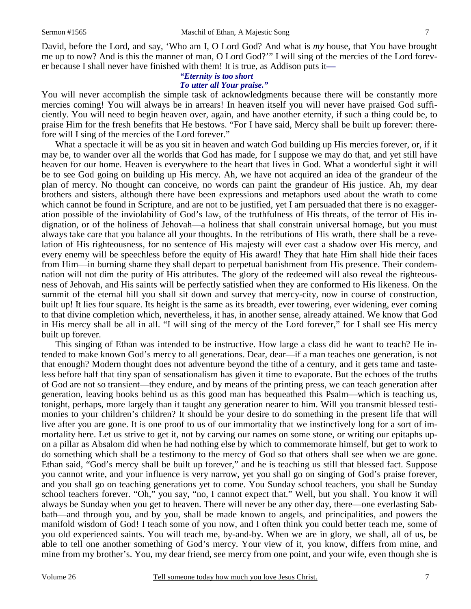David, before the Lord, and say, 'Who am I, O Lord God? And what is *my* house, that You have brought me up to now? And is this the manner of man, O Lord God?'" I will sing of the mercies of the Lord forever because I shall never have finished with them! It is true, as Addison puts it*—* 

#### *"Eternity is too short To utter all Your praise."*

You will never accomplish the simple task of acknowledgments because there will be constantly more mercies coming! You will always be in arrears! In heaven itself you will never have praised God sufficiently. You will need to begin heaven over, again, and have another eternity, if such a thing could be, to praise Him for the fresh benefits that He bestows. "For I have said, Mercy shall be built up forever: therefore will I sing of the mercies of the Lord forever."

What a spectacle it will be as you sit in heaven and watch God building up His mercies forever, or, if it may be, to wander over all the worlds that God has made, for I suppose we may do that, and yet still have heaven for our home. Heaven is everywhere to the heart that lives in God. What a wonderful sight it will be to see God going on building up His mercy. Ah, we have not acquired an idea of the grandeur of the plan of mercy. No thought can conceive, no words can paint the grandeur of His justice. Ah, my dear brothers and sisters, although there have been expressions and metaphors used about the wrath to come which cannot be found in Scripture, and are not to be justified, yet I am persuaded that there is no exaggeration possible of the inviolability of God's law, of the truthfulness of His threats, of the terror of His indignation, or of the holiness of Jehovah—a holiness that shall constrain universal homage, but you must always take care that you balance all your thoughts. In the retributions of His wrath, there shall be a revelation of His righteousness, for no sentence of His majesty will ever cast a shadow over His mercy, and every enemy will be speechless before the equity of His award! They that hate Him shall hide their faces from Him—in burning shame they shall depart to perpetual banishment from His presence. Their condemnation will not dim the purity of His attributes. The glory of the redeemed will also reveal the righteousness of Jehovah, and His saints will be perfectly satisfied when they are conformed to His likeness. On the summit of the eternal hill you shall sit down and survey that mercy-city, now in course of construction, built up! It lies four square. Its height is the same as its breadth, ever towering, ever widening, ever coming to that divine completion which, nevertheless, it has, in another sense, already attained. We know that God in His mercy shall be all in all. "I will sing of the mercy of the Lord forever," for I shall see His mercy built up forever.

 This singing of Ethan was intended to be instructive. How large a class did he want to teach? He intended to make known God's mercy to all generations. Dear, dear—if a man teaches one generation, is not that enough? Modern thought does not adventure beyond the tithe of a century, and it gets tame and tasteless before half that tiny span of sensationalism has given it time to evaporate. But the echoes of the truths of God are not so transient—they endure, and by means of the printing press, we can teach generation after generation, leaving books behind us as this good man has bequeathed this Psalm—which is teaching us, tonight, perhaps, more largely than it taught any generation nearer to him. Will you transmit blessed testimonies to your children's children? It should be your desire to do something in the present life that will live after you are gone. It is one proof to us of our immortality that we instinctively long for a sort of immortality here. Let us strive to get it, not by carving our names on some stone, or writing our epitaphs upon a pillar as Absalom did when he had nothing else by which to commemorate himself, but get to work to do something which shall be a testimony to the mercy of God so that others shall see when we are gone. Ethan said, "God's mercy shall be built up forever," and he is teaching us still that blessed fact. Suppose you cannot write, and your influence is very narrow, yet you shall go on singing of God's praise forever, and you shall go on teaching generations yet to come. You Sunday school teachers, you shall be Sunday school teachers forever. "Oh," you say, "no, I cannot expect that." Well, but you shall. You know it will always be Sunday when you get to heaven. There will never be any other day, there—one everlasting Sabbath—and through you, and by you, shall be made known to angels, and principalities, and powers the manifold wisdom of God! I teach some of you now, and I often think you could better teach me, some of you old experienced saints. You will teach me, by-and-by. When we are in glory, we shall, all of us, be able to tell one another something of God's mercy. Your view of it, you know, differs from mine, and mine from my brother's. You, my dear friend, see mercy from one point, and your wife, even though she is